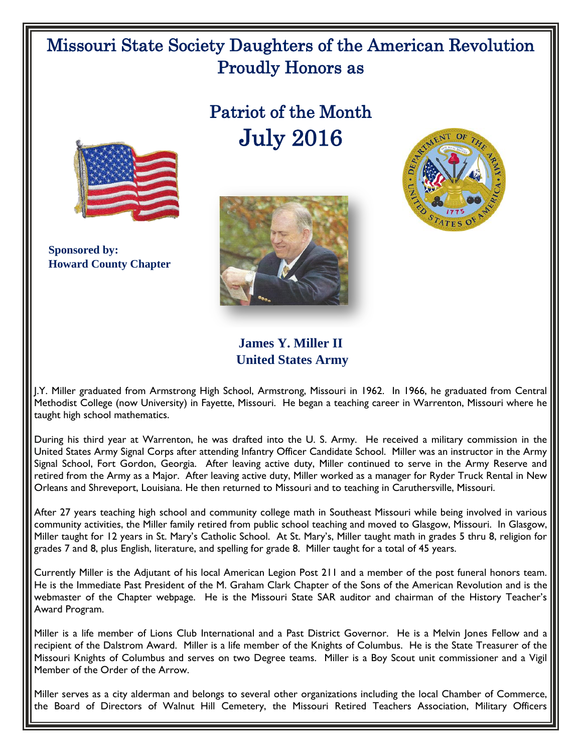## Missouri State Society Daughters of the American Revolution Proudly Honors as

## Patriot of the Month July 2016



 **Sponsored by: Howard County Chapter**





**James Y. Miller II United States Army**

J.Y. Miller graduated from Armstrong High School, Armstrong, Missouri in 1962. In 1966, he graduated from Central Methodist College (now University) in Fayette, Missouri. He began a teaching career in Warrenton, Missouri where he taught high school mathematics.

During his third year at Warrenton, he was drafted into the U. S. Army. He received a military commission in the United States Army Signal Corps after attending Infantry Officer Candidate School. Miller was an instructor in the Army Signal School, Fort Gordon, Georgia. After leaving active duty, Miller continued to serve in the Army Reserve and retired from the Army as a Major. After leaving active duty, Miller worked as a manager for Ryder Truck Rental in New Orleans and Shreveport, Louisiana. He then returned to Missouri and to teaching in Caruthersville, Missouri.

After 27 years teaching high school and community college math in Southeast Missouri while being involved in various community activities, the Miller family retired from public school teaching and moved to Glasgow, Missouri. In Glasgow, Miller taught for 12 years in St. Mary's Catholic School. At St. Mary's, Miller taught math in grades 5 thru 8, religion for grades 7 and 8, plus English, literature, and spelling for grade 8. Miller taught for a total of 45 years.

Currently Miller is the Adjutant of his local American Legion Post 211 and a member of the post funeral honors team. He is the Immediate Past President of the M. Graham Clark Chapter of the Sons of the American Revolution and is the webmaster of the Chapter webpage. He is the Missouri State SAR auditor and chairman of the History Teacher's Award Program.

Miller is a life member of Lions Club International and a Past District Governor. He is a Melvin Jones Fellow and a recipient of the Dalstrom Award. Miller is a life member of the Knights of Columbus. He is the State Treasurer of the Missouri Knights of Columbus and serves on two Degree teams. Miller is a Boy Scout unit commissioner and a Vigil Member of the Order of the Arrow.

Miller serves as a city alderman and belongs to several other organizations including the local Chamber of Commerce, the Board of Directors of Walnut Hill Cemetery, the Missouri Retired Teachers Association, Military Officers